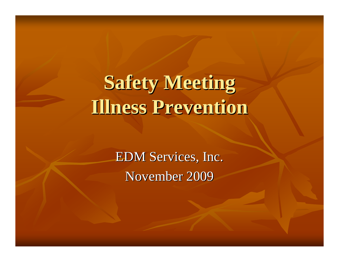# **Safety Meeting Safety Meeting Illness Prevention Illness Prevention**

EDM Services, Inc. November 2009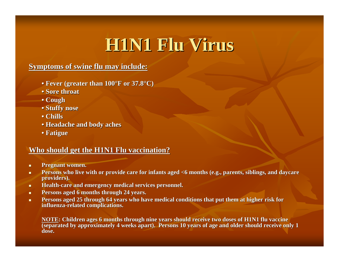## **H1N1 Flu Virus H1N1 Flu Virus**

#### **Symptoms of swine flu may include:**

- **Fever (greater than**  $100^{\circ}\text{F}$  **or 37.8°C)**
- **• Sore throat Sore throat**
- **• Cough**
- **• Stuffy nose Stuffy nose**
- **• Chills**
- **• Headache and body aches Headache and body aches**
- **• Fatigue Fatigue**

#### **Who should get the H1N1 Flu vaccination?**

- п **Pregnant women.**
- п **Persons who live with or provide care for infants aged <6 months (e.g., parents, siblings, and daycare providers). providers).**
- $\blacksquare$ **Health-care and emergency medical services personnel.**
- п Persons aged 6 months through 24 years.
- ш **Persons aged 25 through 64 years who have medical conditions that put them at higher risk for influenza influenza-related complications. related complications.**

**NOTE: Children ages 6 months through nine years should receive two doses of H1N1 flu vaccine**  $\overline{8}$  (separated by approximately 4 weeks apart). Persons 10 years of age and older should receive only 1 **dose.**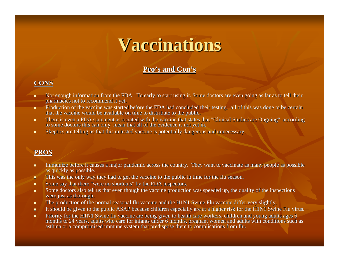### **Vaccinations Vaccinations**

#### **Pro's and Con s and Con's**

#### **CONS**

- п Not enough information from the FDA. To early to start using it. Some doctors are even going as far as to tell their pharmacies not to recommend it yet.
- u. Production of the vaccine was started before the FDA had concluded their testing. all of this was done to be certain that the vaccine would be available on time to distribute to the public.
- $\blacksquare$ There is even a FDA statement associated with the vaccine that states that "Clinical Studies are Ongoing" according to some doctors this can only mean that all of the evidence is not yet in.
- $\blacksquare$ Skeptics are telling us that this untested vaccine is potentially dangerous and unnecessary.

#### **PROS**

- $\blacksquare$ Immunize before it causes a major pandemic across the country. They want to vaccinate as many people as possible as quickly as possible.
- ٠ This was the only way they had to get the vaccine to the public in time for the flu season.
- $\blacksquare$ Some say that there "were no shortcuts" by the FDA inspectors.
- $\blacksquare$ Some doctors also tell us that even though the vaccine production was speeded up, the quality of the inspections were just as thorough.
- $\blacksquare$ The production of the normal seasonal flu vaccine and the H1N1 Swine Flu vaccine differ very slightly.
- $\blacksquare$ It should be given to the public ASAP because children especially are at a higher risk for the H1N1 Swine Flu virus.
- $\blacksquare$ Priority for the H1N1 Swine flu vaccine are being given to health care workers, children and young adults ages 6 months to 24 years, adults who care for infants under 6 months, pregnant women and adults with conditions such as asthma or a compromised immune system that predispose them to complications from flu.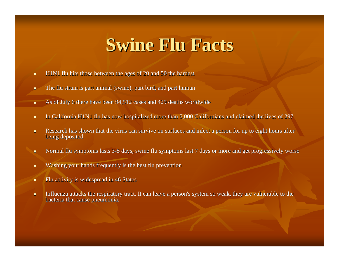### **Swine Flu Facts Swine Flu Facts**

- $\blacksquare$ H1N1 flu hits those between the ages of  $20$  and 50 the hardest
- × The flu strain is part animal (swine), part bird, and part human
- $\blacksquare$ As of July 6 there have been 94,512 cases and 429 deaths worldwide
- $\blacksquare$ In California H1N1 flu has now hospitalized more than 5,000 Californians and claimed the lives of 297
- $\blacksquare$ Research has shown that the virus can survive on surfaces and infect a person for up to eight hours after being deposited
- $\blacksquare$ Normal flu symptoms lasts 3-5 days, swine flu symptoms last 7 days or more and get progressively worse
- п Washing your hands frequently is the best flu prevention
- ٠ Flu activity is widespread in 46 States
- ×. Influenza attacks the respiratory tract. It can leave a person's system so weak, they are vulnerable to the bacteria that cause pneumonia.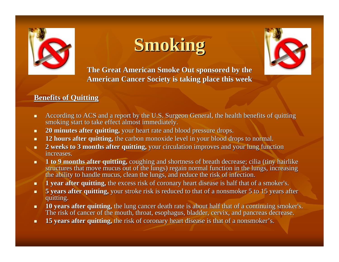

## **Smoking Smoking**



The Great American Smoke Out sponsored by the **American Cancer Society is taking place this week American Cancer Society is taking this week**

#### **Benefits of Quitting Benefits of Quitting**

- $\blacksquare$ According to ACS and a report by the U.S. Surgeon General, the health benefits of quitting smoking start to take effect almost immediately.
- $\blacksquare$ **20 minutes after quitting,** your heart rate and blood pressure drops.
- $\blacksquare$ **12 hours after quitting,** the carbon monoxide level in your blood drops to normal.
- $\blacksquare$ **2 weeks to 3 months after quitting,** your circulation improves and your lung function increases. increases.
- $\blacksquare$ **1 to 9 months after quitting,** coughing and shortness of breath decrease; cilia (tiny hairlike structures that move mucus out of the lungs) regain normal function in the lungs, increasing the ability to handle mucus, clean the lungs, and reduce the risk of infection.
- $\blacksquare$ **1 year after quitting,** the excess risk of coronary heart disease is half that of a smoker's.
- $\blacksquare$ **5 years after quitting,** your stroke risk is reduced to that of a nonsmoker 5 to 15 years after quitting. quitting.
- $\blacksquare$ **10 years after quitting,** the lung cancer death rate is about half that of a continuing smoker's. The risk of cancer of the mouth, throat, esophagus, bladder, cervix, and pancreas decrease.
- $\blacksquare$ **15 years after quitting,** the risk of coronary heart disease is that of a nonsmoker's.